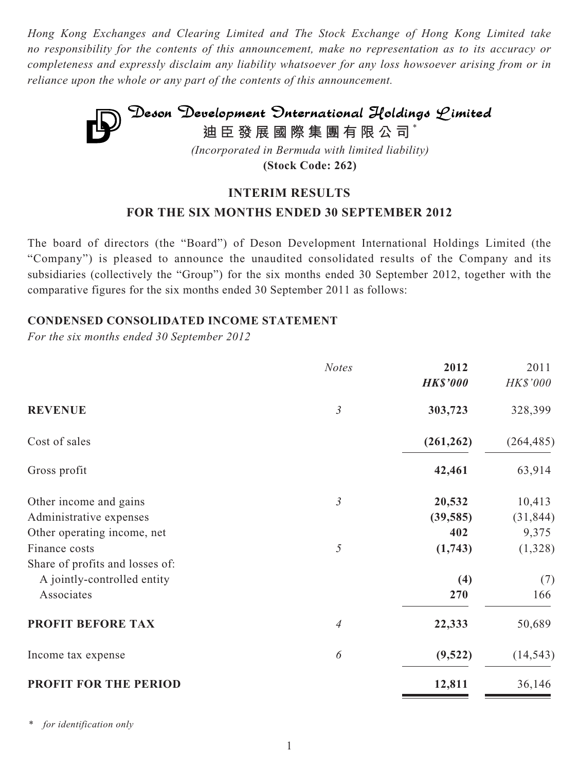*Hong Kong Exchanges and Clearing Limited and The Stock Exchange of Hong Kong Limited take no responsibility for the contents of this announcement, make no representation as to its accuracy or completeness and expressly disclaim any liability whatsoever for any loss howsoever arising from or in reliance upon the whole or any part of the contents of this announcement.*



**(Stock Code: 262)**

# **INTERIM RESULTS**

# **FOR THE SIX MONTHS ENDED 30 SEPTEMBER 2012**

The board of directors (the "Board") of Deson Development International Holdings Limited (the "Company") is pleased to announce the unaudited consolidated results of the Company and its subsidiaries (collectively the "Group") for the six months ended 30 September 2012, together with the comparative figures for the six months ended 30 September 2011 as follows:

### **CONDENSED CONSOLIDATED INCOME STATEMENT**

*For the six months ended 30 September 2012*

|                                 | <b>Notes</b>   | 2012            | 2011       |
|---------------------------------|----------------|-----------------|------------|
|                                 |                | <b>HK\$'000</b> | HK\$'000   |
| <b>REVENUE</b>                  | $\mathfrak{Z}$ | 303,723         | 328,399    |
| Cost of sales                   |                | (261, 262)      | (264, 485) |
| Gross profit                    |                | 42,461          | 63,914     |
| Other income and gains          | $\mathfrak{Z}$ | 20,532          | 10,413     |
| Administrative expenses         |                | (39, 585)       | (31, 844)  |
| Other operating income, net     |                | 402             | 9,375      |
| Finance costs                   | 5              | (1,743)         | (1,328)    |
| Share of profits and losses of: |                |                 |            |
| A jointly-controlled entity     |                | (4)             | (7)        |
| Associates                      |                | 270             | 166        |
| PROFIT BEFORE TAX               | 4              | 22,333          | 50,689     |
| Income tax expense              | 6              | (9,522)         | (14, 543)  |
| <b>PROFIT FOR THE PERIOD</b>    |                | 12,811          | 36,146     |

*\* for identification only*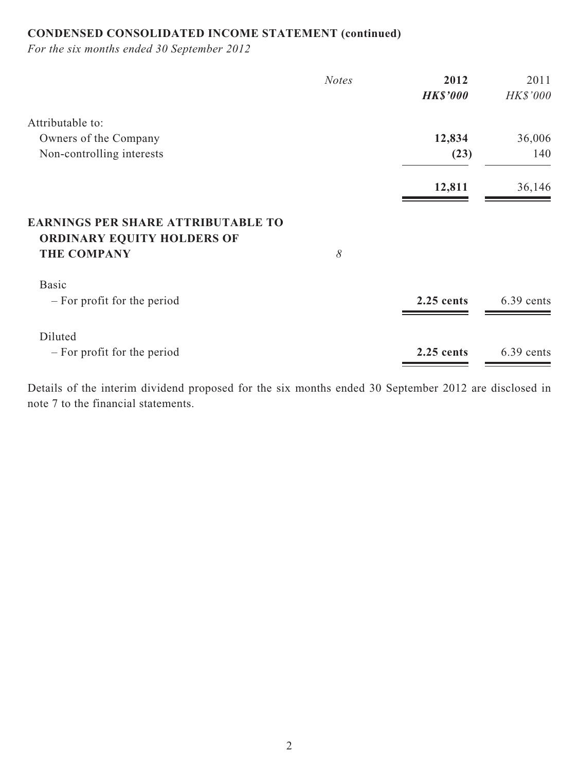# **CONDENSED CONSOLIDATED INCOME STATEMENT (continued)**

*For the six months ended 30 September 2012*

|                                                                                                      | <b>Notes</b> | 2012            | 2011       |
|------------------------------------------------------------------------------------------------------|--------------|-----------------|------------|
|                                                                                                      |              | <b>HK\$'000</b> | HK\$'000   |
| Attributable to:                                                                                     |              |                 |            |
| Owners of the Company                                                                                |              | 12,834          | 36,006     |
| Non-controlling interests                                                                            |              | (23)            | 140        |
|                                                                                                      |              | 12,811          | 36,146     |
| <b>EARNINGS PER SHARE ATTRIBUTABLE TO</b><br><b>ORDINARY EQUITY HOLDERS OF</b><br><b>THE COMPANY</b> | 8            |                 |            |
| <b>Basic</b><br>- For profit for the period                                                          |              | $2.25$ cents    | 6.39 cents |
| Diluted<br>- For profit for the period                                                               |              | 2.25 cents      | 6.39 cents |

Details of the interim dividend proposed for the six months ended 30 September 2012 are disclosed in note 7 to the financial statements.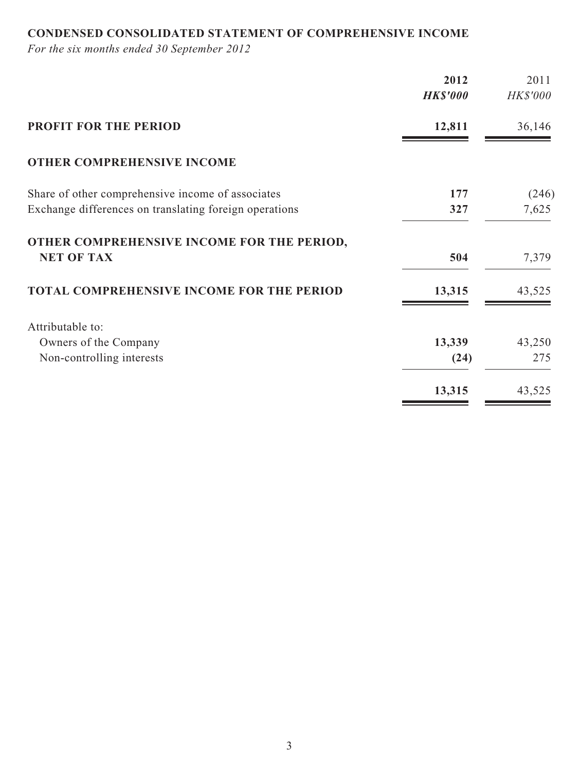# **CONDENSED CONSOLIDATED STATEMENT OF COMPREHENSIVE INCOME**

*For the six months ended 30 September 2012*

|                                                                 | 2012            | 2011            |
|-----------------------------------------------------------------|-----------------|-----------------|
|                                                                 | <b>HK\$'000</b> | <b>HK\$'000</b> |
| <b>PROFIT FOR THE PERIOD</b>                                    | 12,811          | 36,146          |
| <b>OTHER COMPREHENSIVE INCOME</b>                               |                 |                 |
| Share of other comprehensive income of associates               | 177             | (246)           |
| Exchange differences on translating foreign operations          | 327             | 7,625           |
| OTHER COMPREHENSIVE INCOME FOR THE PERIOD,<br><b>NET OF TAX</b> | 504             | 7,379           |
| <b>TOTAL COMPREHENSIVE INCOME FOR THE PERIOD</b>                | 13,315          | 43,525          |
| Attributable to:                                                |                 |                 |
| Owners of the Company                                           | 13,339          | 43,250          |
| Non-controlling interests                                       | (24)            | 275             |
|                                                                 | 13,315          | 43,525          |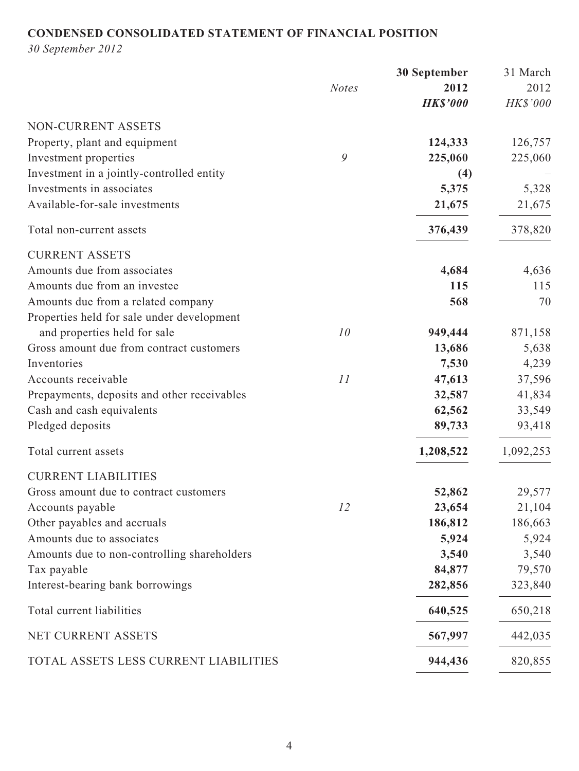# **CONDENSED CONSOLIDATED STATEMENT OF FINANCIAL POSITION**

*30 September 2012*

|                                             |              | <b>30 September</b> | 31 March  |
|---------------------------------------------|--------------|---------------------|-----------|
|                                             | <b>Notes</b> | 2012                | 2012      |
|                                             |              | <b>HK\$'000</b>     | HK\$'000  |
| NON-CURRENT ASSETS                          |              |                     |           |
| Property, plant and equipment               |              | 124,333             | 126,757   |
| Investment properties                       | 9            | 225,060             | 225,060   |
| Investment in a jointly-controlled entity   |              | (4)                 |           |
| Investments in associates                   |              | 5,375               | 5,328     |
| Available-for-sale investments              |              | 21,675              | 21,675    |
| Total non-current assets                    |              | 376,439             | 378,820   |
| <b>CURRENT ASSETS</b>                       |              |                     |           |
| Amounts due from associates                 |              | 4,684               | 4,636     |
| Amounts due from an investee                |              | 115                 | 115       |
| Amounts due from a related company          |              | 568                 | 70        |
| Properties held for sale under development  |              |                     |           |
| and properties held for sale                | 10           | 949,444             | 871,158   |
| Gross amount due from contract customers    |              | 13,686              | 5,638     |
| Inventories                                 |              | 7,530               | 4,239     |
| Accounts receivable                         | 11           | 47,613              | 37,596    |
| Prepayments, deposits and other receivables |              | 32,587              | 41,834    |
| Cash and cash equivalents                   |              | 62,562              | 33,549    |
| Pledged deposits                            |              | 89,733              | 93,418    |
| Total current assets                        |              | 1,208,522           | 1,092,253 |
| <b>CURRENT LIABILITIES</b>                  |              |                     |           |
| Gross amount due to contract customers      |              | 52,862              | 29,577    |
| Accounts payable                            | 12           | 23,654              | 21,104    |
| Other payables and accruals                 |              | 186,812             | 186,663   |
| Amounts due to associates                   |              | 5,924               | 5,924     |
| Amounts due to non-controlling shareholders |              | 3,540               | 3,540     |
| Tax payable                                 |              | 84,877              | 79,570    |
| Interest-bearing bank borrowings            |              | 282,856             | 323,840   |
| Total current liabilities                   |              | 640,525             | 650,218   |
| NET CURRENT ASSETS                          |              | 567,997             | 442,035   |
| TOTAL ASSETS LESS CURRENT LIABILITIES       |              | 944,436             | 820,855   |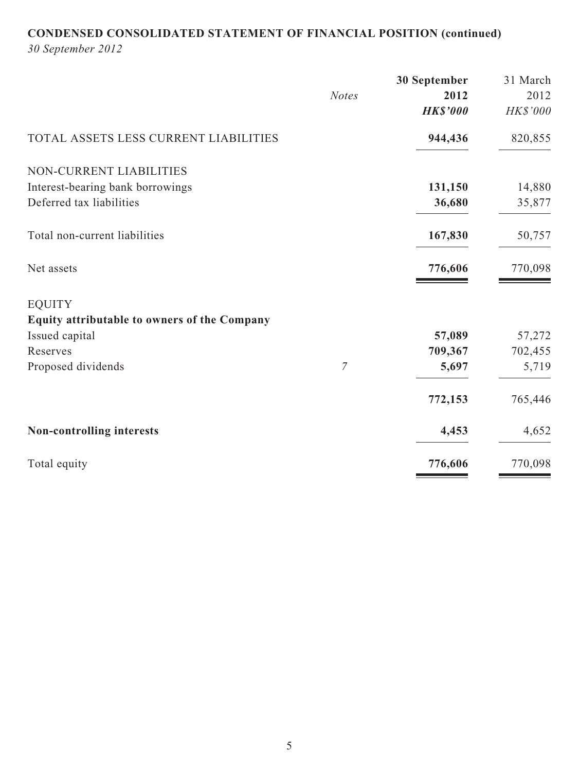# **CONDENSED CONSOLIDATED STATEMENT OF FINANCIAL POSITION (continued)**

*30 September 2012*

|                                              |                | 30 September    | 31 March |
|----------------------------------------------|----------------|-----------------|----------|
|                                              | <b>Notes</b>   | 2012            | 2012     |
|                                              |                | <b>HK\$'000</b> | HK\$'000 |
| TOTAL ASSETS LESS CURRENT LIABILITIES        |                | 944,436         | 820,855  |
| NON-CURRENT LIABILITIES                      |                |                 |          |
| Interest-bearing bank borrowings             |                | 131,150         | 14,880   |
| Deferred tax liabilities                     |                | 36,680          | 35,877   |
| Total non-current liabilities                |                | 167,830         | 50,757   |
| Net assets                                   |                | 776,606         | 770,098  |
| <b>EQUITY</b>                                |                |                 |          |
| Equity attributable to owners of the Company |                |                 |          |
| Issued capital                               |                | 57,089          | 57,272   |
| Reserves                                     |                | 709,367         | 702,455  |
| Proposed dividends                           | $\overline{7}$ | 5,697           | 5,719    |
|                                              |                | 772,153         | 765,446  |
| Non-controlling interests                    |                | 4,453           | 4,652    |
| Total equity                                 |                | 776,606         | 770,098  |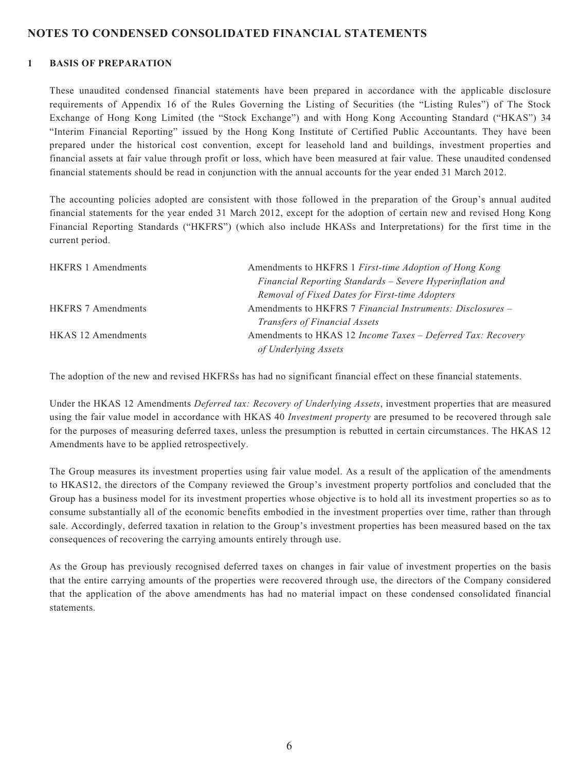#### **NOTES TO CONDENSED CONSOLIDATED FINANCIAL STATEMENTS**

#### **1 BASIS OF PREPARATION**

These unaudited condensed financial statements have been prepared in accordance with the applicable disclosure requirements of Appendix 16 of the Rules Governing the Listing of Securities (the "Listing Rules") of The Stock Exchange of Hong Kong Limited (the "Stock Exchange") and with Hong Kong Accounting Standard ("HKAS") 34 "Interim Financial Reporting" issued by the Hong Kong Institute of Certified Public Accountants. They have been prepared under the historical cost convention, except for leasehold land and buildings, investment properties and financial assets at fair value through profit or loss, which have been measured at fair value. These unaudited condensed financial statements should be read in conjunction with the annual accounts for the year ended 31 March 2012.

The accounting policies adopted are consistent with those followed in the preparation of the Group's annual audited financial statements for the year ended 31 March 2012, except for the adoption of certain new and revised Hong Kong Financial Reporting Standards ("HKFRS") (which also include HKASs and Interpretations) for the first time in the current period.

| <b>HKFRS 1 Amendments</b> | Amendments to HKFRS 1 First-time Adoption of Hong Kong      |
|---------------------------|-------------------------------------------------------------|
|                           | Financial Reporting Standards - Severe Hyperinflation and   |
|                           | Removal of Fixed Dates for First-time Adopters              |
| <b>HKFRS 7 Amendments</b> | Amendments to HKFRS 7 Financial Instruments: Disclosures –  |
|                           | <i>Transfers of Financial Assets</i>                        |
| <b>HKAS</b> 12 Amendments | Amendments to HKAS 12 Income Taxes - Deferred Tax: Recovery |
|                           | of Underlying Assets                                        |

The adoption of the new and revised HKFRSs has had no significant financial effect on these financial statements.

Under the HKAS 12 Amendments *Deferred tax: Recovery of Underlying Assets*, investment properties that are measured using the fair value model in accordance with HKAS 40 *Investment property* are presumed to be recovered through sale for the purposes of measuring deferred taxes, unless the presumption is rebutted in certain circumstances. The HKAS 12 Amendments have to be applied retrospectively.

The Group measures its investment properties using fair value model. As a result of the application of the amendments to HKAS12, the directors of the Company reviewed the Group's investment property portfolios and concluded that the Group has a business model for its investment properties whose objective is to hold all its investment properties so as to consume substantially all of the economic benefits embodied in the investment properties over time, rather than through sale. Accordingly, deferred taxation in relation to the Group's investment properties has been measured based on the tax consequences of recovering the carrying amounts entirely through use.

As the Group has previously recognised deferred taxes on changes in fair value of investment properties on the basis that the entire carrying amounts of the properties were recovered through use, the directors of the Company considered that the application of the above amendments has had no material impact on these condensed consolidated financial statements.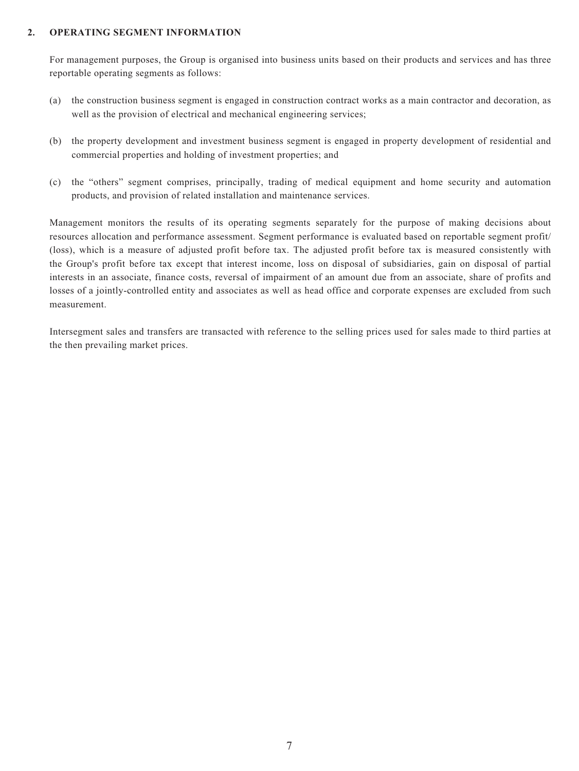#### **2. OPERATING SEGMENT INFORMATION**

For management purposes, the Group is organised into business units based on their products and services and has three reportable operating segments as follows:

- (a) the construction business segment is engaged in construction contract works as a main contractor and decoration, as well as the provision of electrical and mechanical engineering services;
- (b) the property development and investment business segment is engaged in property development of residential and commercial properties and holding of investment properties; and
- (c) the "others" segment comprises, principally, trading of medical equipment and home security and automation products, and provision of related installation and maintenance services.

Management monitors the results of its operating segments separately for the purpose of making decisions about resources allocation and performance assessment. Segment performance is evaluated based on reportable segment profit/ (loss), which is a measure of adjusted profit before tax. The adjusted profit before tax is measured consistently with the Group's profit before tax except that interest income, loss on disposal of subsidiaries, gain on disposal of partial interests in an associate, finance costs, reversal of impairment of an amount due from an associate, share of profits and losses of a jointly-controlled entity and associates as well as head office and corporate expenses are excluded from such measurement.

Intersegment sales and transfers are transacted with reference to the selling prices used for sales made to third parties at the then prevailing market prices.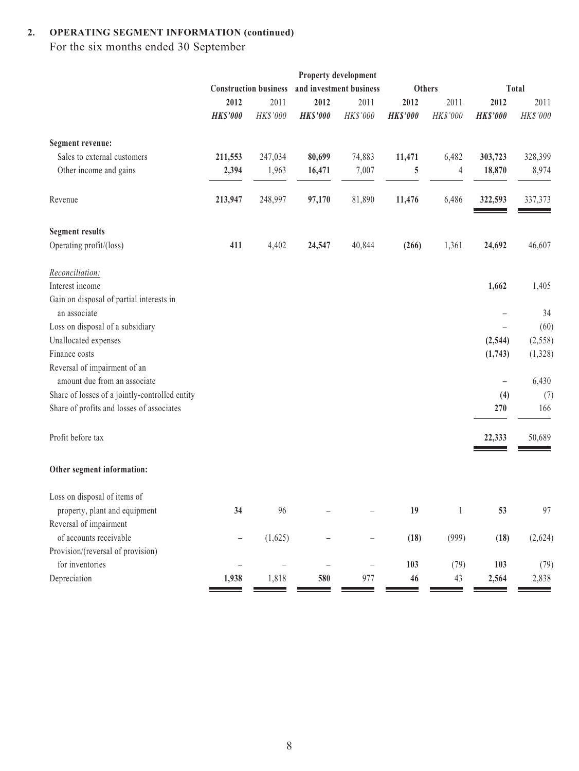# **2. OPERATING SEGMENT INFORMATION (continued)**

For the six months ended 30 September

|                                                          |                          |                                                         |                   | Property development |                 |              |                   |          |
|----------------------------------------------------------|--------------------------|---------------------------------------------------------|-------------------|----------------------|-----------------|--------------|-------------------|----------|
|                                                          |                          | and investment business<br><b>Construction business</b> |                   | <b>Others</b>        |                 |              | <b>Total</b>      |          |
|                                                          | 2012                     | 2011                                                    | 2012              | 2011                 | 2012            | 2011         | 2012              | 2011     |
|                                                          | <b>HK\$'000</b>          | HK\$'000                                                | <b>HK\$'000</b>   | HK\$'000             | <b>HK\$'000</b> | HK\$'000     | <b>HK\$'000</b>   | HK\$'000 |
| Segment revenue:                                         |                          |                                                         |                   |                      |                 |              |                   |          |
| Sales to external customers                              | 211,553                  | 247,034                                                 | 80,699            | 74,883               | 11,471          | 6,482        | 303,723           | 328,399  |
| Other income and gains                                   | 2,394                    | 1,963                                                   | 16,471            | 7,007                | 5               | 4            | 18,870            | 8,974    |
| Revenue                                                  | 213,947                  | 248,997                                                 | 97,170            | 81,890               | 11,476          | 6,486        | 322,593           | 337,373  |
| <b>Segment results</b>                                   |                          |                                                         |                   |                      |                 |              |                   |          |
| Operating profit/(loss)                                  | 411                      | 4,402                                                   | 24,547            | 40,844               | (266)           | 1,361        | 24,692            | 46,607   |
| Reconciliation:                                          |                          |                                                         |                   |                      |                 |              |                   |          |
| Interest income                                          |                          |                                                         |                   |                      |                 |              | 1,662             | 1,405    |
| Gain on disposal of partial interests in<br>an associate |                          |                                                         |                   |                      |                 |              |                   | 34       |
| Loss on disposal of a subsidiary                         |                          |                                                         |                   |                      |                 |              |                   | (60)     |
| Unallocated expenses                                     |                          |                                                         |                   |                      |                 |              | (2, 544)          | (2, 558) |
| Finance costs                                            |                          |                                                         |                   |                      |                 |              | (1,743)           | (1,328)  |
| Reversal of impairment of an                             |                          |                                                         |                   |                      |                 |              |                   |          |
| amount due from an associate                             |                          |                                                         |                   |                      |                 |              | $\qquad \qquad -$ | 6,430    |
| Share of losses of a jointly-controlled entity           |                          |                                                         |                   |                      |                 |              | (4)               | (7)      |
| Share of profits and losses of associates                |                          |                                                         |                   |                      |                 |              | 270               | 166      |
| Profit before tax                                        |                          |                                                         |                   |                      |                 |              | 22,333            | 50,689   |
| Other segment information:                               |                          |                                                         |                   |                      |                 |              |                   |          |
| Loss on disposal of items of                             |                          |                                                         |                   |                      |                 |              |                   |          |
| property, plant and equipment                            | 34                       | 96                                                      |                   |                      | 19              | $\mathbf{1}$ | 53                | 97       |
| Reversal of impairment                                   |                          |                                                         |                   |                      |                 |              |                   |          |
| of accounts receivable                                   | $\qquad \qquad -$        | (1,625)                                                 |                   | —                    | (18)            | (999)        | (18)              | (2,624)  |
| Provision/(reversal of provision)                        |                          |                                                         |                   |                      |                 |              |                   |          |
| for inventories                                          | $\overline{\phantom{0}}$ | $\overline{\phantom{0}}$                                | $\qquad \qquad -$ | $\qquad \qquad -$    | 103             | (79)         | 103               | (79)     |
| Depreciation                                             | 1,938                    | 1,818                                                   | 580               | 977                  | 46              | 43           | 2,564             | 2,838    |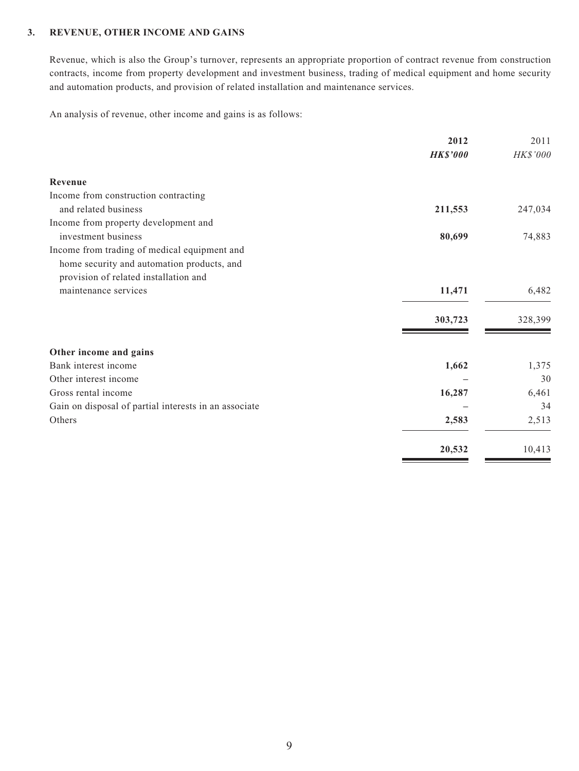#### **3. REVENUE, OTHER INCOME AND GAINS**

Revenue, which is also the Group's turnover, represents an appropriate proportion of contract revenue from construction contracts, income from property development and investment business, trading of medical equipment and home security and automation products, and provision of related installation and maintenance services.

An analysis of revenue, other income and gains is as follows:

|                                                       | 2012            | 2011     |
|-------------------------------------------------------|-----------------|----------|
|                                                       | <b>HK\$'000</b> | HK\$'000 |
| Revenue                                               |                 |          |
| Income from construction contracting                  |                 |          |
| and related business                                  | 211,553         | 247,034  |
| Income from property development and                  |                 |          |
| investment business                                   | 80,699          | 74,883   |
| Income from trading of medical equipment and          |                 |          |
| home security and automation products, and            |                 |          |
| provision of related installation and                 |                 |          |
| maintenance services                                  | 11,471          | 6,482    |
|                                                       | 303,723         | 328,399  |
| Other income and gains                                |                 |          |
| Bank interest income                                  | 1,662           | 1,375    |
| Other interest income                                 |                 | 30       |
| Gross rental income                                   | 16,287          | 6,461    |
| Gain on disposal of partial interests in an associate |                 | 34       |
| Others                                                | 2,583           | 2,513    |
|                                                       | 20,532          | 10,413   |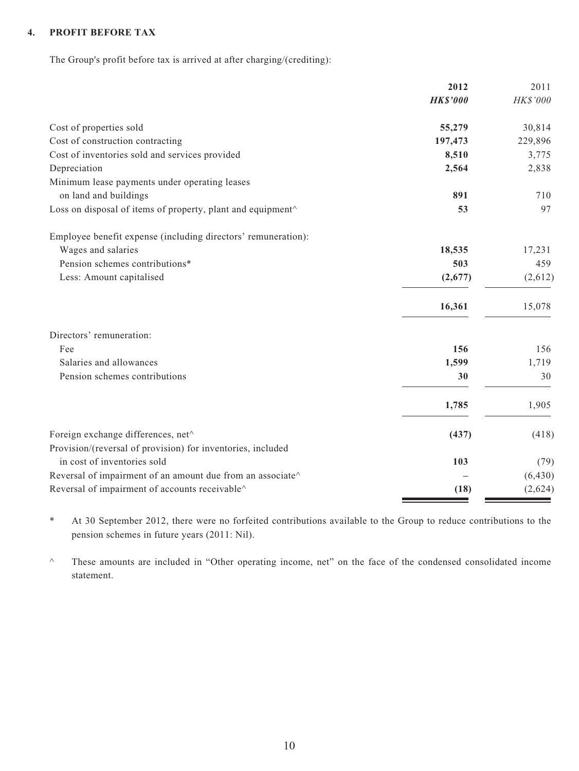#### **4. PROFIT BEFORE TAX**

The Group's profit before tax is arrived at after charging/(crediting):

|                                                                | 2012            | 2011     |
|----------------------------------------------------------------|-----------------|----------|
|                                                                | <b>HK\$'000</b> | HK\$'000 |
| Cost of properties sold                                        | 55,279          | 30,814   |
| Cost of construction contracting                               | 197,473         | 229,896  |
| Cost of inventories sold and services provided                 | 8,510           | 3,775    |
| Depreciation                                                   | 2,564           | 2,838    |
| Minimum lease payments under operating leases                  |                 |          |
| on land and buildings                                          | 891             | 710      |
| Loss on disposal of items of property, plant and equipment^    | 53              | 97       |
| Employee benefit expense (including directors' remuneration):  |                 |          |
| Wages and salaries                                             | 18,535          | 17,231   |
| Pension schemes contributions*                                 | 503             | 459      |
| Less: Amount capitalised                                       | (2,677)         | (2,612)  |
|                                                                | 16,361          | 15,078   |
| Directors' remuneration:                                       |                 |          |
| Fee                                                            | 156             | 156      |
| Salaries and allowances                                        | 1,599           | 1,719    |
| Pension schemes contributions                                  | 30              | 30       |
|                                                                | 1,785           | 1,905    |
| Foreign exchange differences, net <sup>^</sup>                 | (437)           | (418)    |
| Provision/(reversal of provision) for inventories, included    |                 |          |
| in cost of inventories sold                                    | 103             | (79)     |
| Reversal of impairment of an amount due from an associate<br>^ |                 | (6, 430) |
| Reversal of impairment of accounts receivable^                 | (18)            | (2,624)  |
|                                                                |                 |          |

\* At 30 September 2012, there were no forfeited contributions available to the Group to reduce contributions to the pension schemes in future years (2011: Nil).

^ These amounts are included in "Other operating income, net" on the face of the condensed consolidated income statement.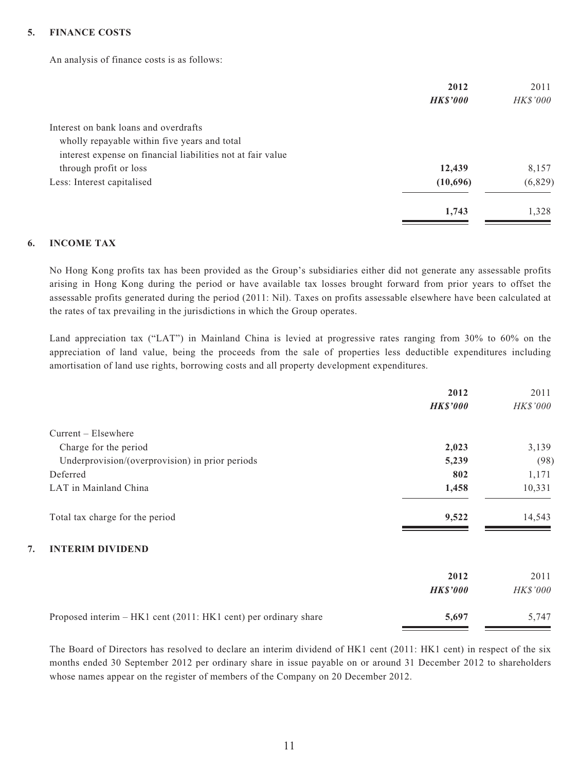#### **5. FINANCE COSTS**

An analysis of finance costs is as follows:

|                                                             | 2012            | 2011            |
|-------------------------------------------------------------|-----------------|-----------------|
|                                                             | <b>HK\$'000</b> | <b>HK\$'000</b> |
| Interest on bank loans and overdrafts                       |                 |                 |
| wholly repayable within five years and total                |                 |                 |
| interest expense on financial liabilities not at fair value |                 |                 |
| through profit or loss                                      | 12,439          | 8,157           |
| Less: Interest capitalised                                  | (10,696)        | (6,829)         |
|                                                             | 1,743           | 1,328           |

#### **6. INCOME TAX**

No Hong Kong profits tax has been provided as the Group's subsidiaries either did not generate any assessable profits arising in Hong Kong during the period or have available tax losses brought forward from prior years to offset the assessable profits generated during the period (2011: Nil). Taxes on profits assessable elsewhere have been calculated at the rates of tax prevailing in the jurisdictions in which the Group operates.

Land appreciation tax ("LAT") in Mainland China is levied at progressive rates ranging from 30% to 60% on the appreciation of land value, being the proceeds from the sale of properties less deductible expenditures including amortisation of land use rights, borrowing costs and all property development expenditures.

|                                                                 | 2012            | 2011     |
|-----------------------------------------------------------------|-----------------|----------|
|                                                                 | <b>HK\$'000</b> | HK\$'000 |
| $Current - Elsewhere$                                           |                 |          |
| Charge for the period                                           | 2,023           | 3,139    |
| Underprovision/(overprovision) in prior periods                 | 5,239           | (98)     |
| Deferred                                                        | 802             | 1,171    |
| LAT in Mainland China                                           | 1,458           | 10,331   |
| Total tax charge for the period                                 | 9,522           | 14,543   |
| <b>INTERIM DIVIDEND</b><br>7.                                   |                 |          |
|                                                                 | 2012            | 2011     |
|                                                                 | <b>HK\$'000</b> | HK\$'000 |
| Proposed interim – HK1 cent (2011: HK1 cent) per ordinary share | 5,697           | 5,747    |

The Board of Directors has resolved to declare an interim dividend of HK1 cent (2011: HK1 cent) in respect of the six months ended 30 September 2012 per ordinary share in issue payable on or around 31 December 2012 to shareholders whose names appear on the register of members of the Company on 20 December 2012.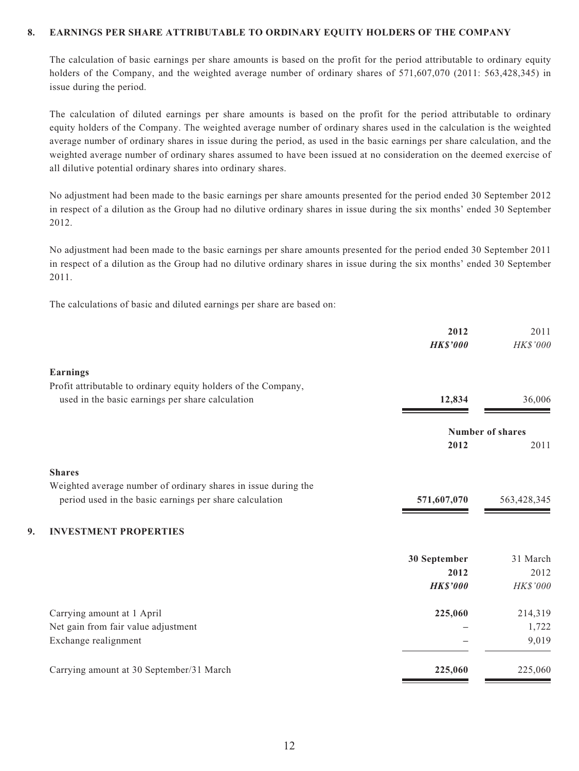#### **8. EARNINGS PER SHARE ATTRIBUTABLE TO ORDINARY EQUITY HOLDERS OF THE COMPANY**

The calculation of basic earnings per share amounts is based on the profit for the period attributable to ordinary equity holders of the Company, and the weighted average number of ordinary shares of 571,607,070 (2011: 563,428,345) in issue during the period.

The calculation of diluted earnings per share amounts is based on the profit for the period attributable to ordinary equity holders of the Company. The weighted average number of ordinary shares used in the calculation is the weighted average number of ordinary shares in issue during the period, as used in the basic earnings per share calculation, and the weighted average number of ordinary shares assumed to have been issued at no consideration on the deemed exercise of all dilutive potential ordinary shares into ordinary shares.

No adjustment had been made to the basic earnings per share amounts presented for the period ended 30 September 2012 in respect of a dilution as the Group had no dilutive ordinary shares in issue during the six months' ended 30 September 2012.

No adjustment had been made to the basic earnings per share amounts presented for the period ended 30 September 2011 in respect of a dilution as the Group had no dilutive ordinary shares in issue during the six months' ended 30 September 2011.

The calculations of basic and diluted earnings per share are based on:

|    |                                                                | 2012<br><b>HK\$'000</b> | 2011<br>HK\$'000 |
|----|----------------------------------------------------------------|-------------------------|------------------|
|    | <b>Earnings</b>                                                |                         |                  |
|    | Profit attributable to ordinary equity holders of the Company, |                         |                  |
|    | used in the basic earnings per share calculation               | 12,834                  | 36,006           |
|    |                                                                |                         | Number of shares |
|    |                                                                | 2012                    | 2011             |
|    | <b>Shares</b>                                                  |                         |                  |
|    | Weighted average number of ordinary shares in issue during the |                         |                  |
|    | period used in the basic earnings per share calculation        | 571,607,070             | 563,428,345      |
| 9. | <b>INVESTMENT PROPERTIES</b>                                   |                         |                  |
|    |                                                                | 30 September            | 31 March         |
|    |                                                                | 2012                    | 2012             |
|    |                                                                | <b>HK\$'000</b>         | HK\$'000         |
|    | Carrying amount at 1 April                                     | 225,060                 | 214,319          |
|    | Net gain from fair value adjustment                            |                         | 1,722            |
|    | Exchange realignment                                           |                         | 9,019            |
|    | Carrying amount at 30 September/31 March                       | 225,060                 | 225,060          |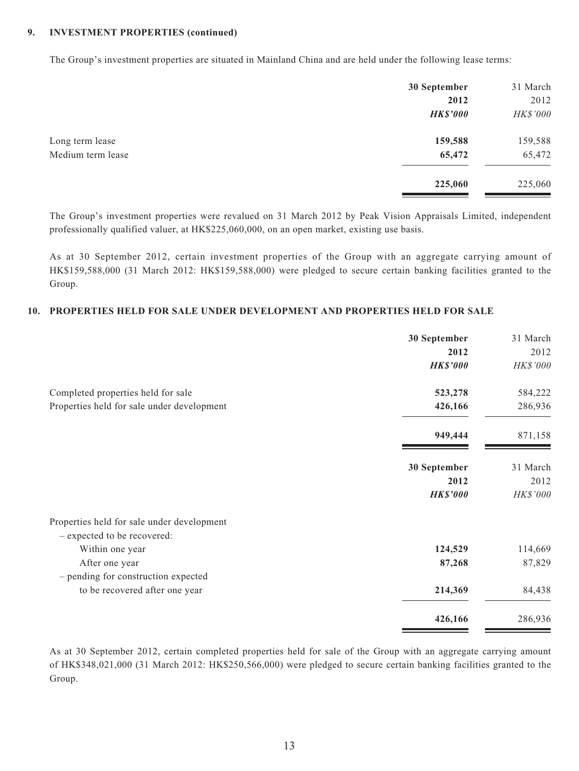#### **9. INVESTMENT PROPERTIES (continued)**

The Group's investment properties are situated in Mainland China and are held under the following lease terms:

|                   | 30 September    | 31 March |
|-------------------|-----------------|----------|
|                   | 2012            | 2012     |
|                   | <b>HK\$'000</b> | HK\$'000 |
| Long term lease   | 159,588         | 159,588  |
| Medium term lease | 65,472          | 65,472   |
|                   | 225,060         | 225,060  |

The Group's investment properties were revalued on 31 March 2012 by Peak Vision Appraisals Limited, independent professionally qualified valuer, at HK\$225,060,000, on an open market, existing use basis.

As at 30 September 2012, certain investment properties of the Group with an aggregate carrying amount of HK\$159,588,000 (31 March 2012: HK\$159,588,000) were pledged to secure certain banking facilities granted to the Group.

#### **10. PROPERTIES HELD FOR SALE UNDER DEVELOPMENT AND PROPERTIES HELD FOR SALE**

|                                                                           | 30 September    | 31 March |
|---------------------------------------------------------------------------|-----------------|----------|
|                                                                           | 2012            | 2012     |
|                                                                           | <b>HK\$'000</b> | HK\$'000 |
| Completed properties held for sale                                        | 523,278         | 584,222  |
| Properties held for sale under development                                | 426,166         | 286,936  |
|                                                                           | 949,444         | 871,158  |
|                                                                           | 30 September    | 31 March |
|                                                                           | 2012            | 2012     |
|                                                                           | <b>HK\$'000</b> | HK\$'000 |
| Properties held for sale under development<br>- expected to be recovered: |                 |          |
| Within one year                                                           | 124,529         | 114,669  |
| After one year                                                            | 87,268          | 87,829   |
| - pending for construction expected                                       |                 |          |
| to be recovered after one year                                            | 214,369         | 84,438   |
|                                                                           | 426,166         | 286,936  |

As at 30 September 2012, certain completed properties held for sale of the Group with an aggregate carrying amount of HK\$348,021,000 (31 March 2012: HK\$250,566,000) were pledged to secure certain banking facilities granted to the Group.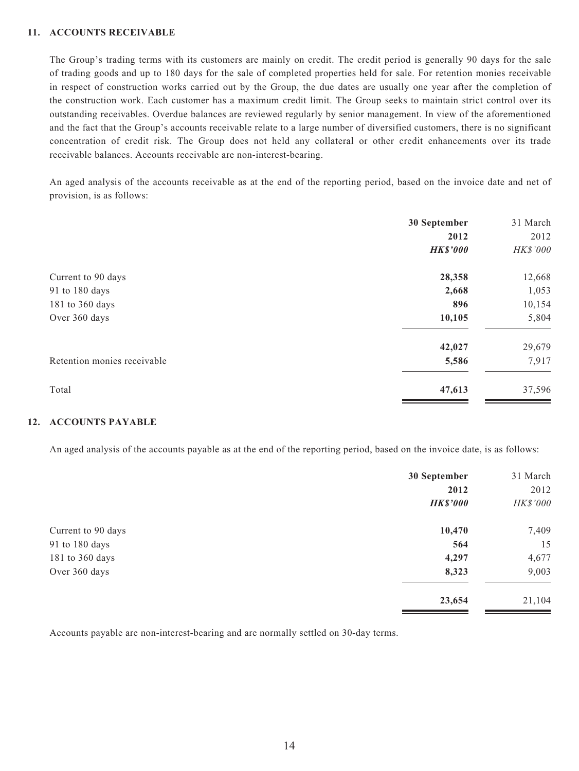#### **11. ACCOUNTS RECEIVABLE**

The Group's trading terms with its customers are mainly on credit. The credit period is generally 90 days for the sale of trading goods and up to 180 days for the sale of completed properties held for sale. For retention monies receivable in respect of construction works carried out by the Group, the due dates are usually one year after the completion of the construction work. Each customer has a maximum credit limit. The Group seeks to maintain strict control over its outstanding receivables. Overdue balances are reviewed regularly by senior management. In view of the aforementioned and the fact that the Group's accounts receivable relate to a large number of diversified customers, there is no significant concentration of credit risk. The Group does not held any collateral or other credit enhancements over its trade receivable balances. Accounts receivable are non-interest-bearing.

An aged analysis of the accounts receivable as at the end of the reporting period, based on the invoice date and net of provision, is as follows:

| 30 September<br>2012<br><b>HK\$'000</b> | 31 March<br>2012<br>HK\$'000 |
|-----------------------------------------|------------------------------|
| 28,358                                  | 12,668                       |
| 2,668                                   | 1,053                        |
| 896                                     | 10,154                       |
| 10,105                                  | 5,804                        |
| 42,027                                  | 29,679                       |
| 5,586                                   | 7,917                        |
| 47,613                                  | 37,596                       |
|                                         |                              |

#### **12. ACCOUNTS PAYABLE**

An aged analysis of the accounts payable as at the end of the reporting period, based on the invoice date, is as follows:

|                    | 30 September    | 31 March |
|--------------------|-----------------|----------|
|                    | 2012            | 2012     |
|                    | <b>HK\$'000</b> | HK\$'000 |
| Current to 90 days | 10,470          | 7,409    |
| 91 to 180 days     | 564             | 15       |
| 181 to 360 days    | 4,297           | 4,677    |
| Over 360 days      | 8,323           | 9,003    |
|                    | 23,654          | 21,104   |

Accounts payable are non-interest-bearing and are normally settled on 30-day terms.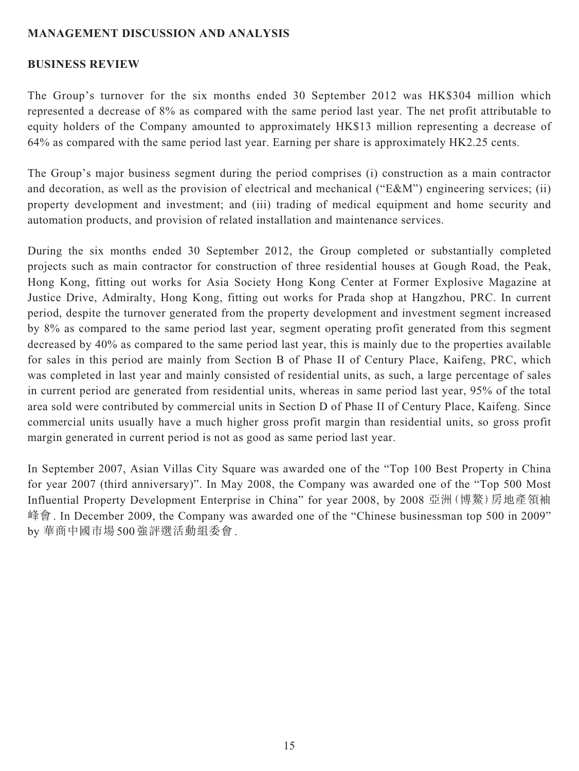### **MANAGEMENT DISCUSSION AND ANALYSIS**

#### **BUSINESS REVIEW**

The Group's turnover for the six months ended 30 September 2012 was HK\$304 million which represented a decrease of 8% as compared with the same period last year. The net profit attributable to equity holders of the Company amounted to approximately HK\$13 million representing a decrease of 64% as compared with the same period last year. Earning per share is approximately HK2.25 cents.

The Group's major business segment during the period comprises (i) construction as a main contractor and decoration, as well as the provision of electrical and mechanical ("E&M") engineering services; (ii) property development and investment; and (iii) trading of medical equipment and home security and automation products, and provision of related installation and maintenance services.

During the six months ended 30 September 2012, the Group completed or substantially completed projects such as main contractor for construction of three residential houses at Gough Road, the Peak, Hong Kong, fitting out works for Asia Society Hong Kong Center at Former Explosive Magazine at Justice Drive, Admiralty, Hong Kong, fitting out works for Prada shop at Hangzhou, PRC. In current period, despite the turnover generated from the property development and investment segment increased by 8% as compared to the same period last year, segment operating profit generated from this segment decreased by 40% as compared to the same period last year, this is mainly due to the properties available for sales in this period are mainly from Section B of Phase II of Century Place, Kaifeng, PRC, which was completed in last year and mainly consisted of residential units, as such, a large percentage of sales in current period are generated from residential units, whereas in same period last year, 95% of the total area sold were contributed by commercial units in Section D of Phase II of Century Place, Kaifeng. Since commercial units usually have a much higher gross profit margin than residential units, so gross profit margin generated in current period is not as good as same period last year.

In September 2007, Asian Villas City Square was awarded one of the "Top 100 Best Property in China for year 2007 (third anniversary)". In May 2008, the Company was awarded one of the "Top 500 Most Influential Property Development Enterprise in China" for year 2008, by 2008 亞洲(博鰲)房地產領袖 峰會. In December 2009, the Company was awarded one of the "Chinese businessman top 500 in 2009" by 華商中國市場500強評選活動組委會.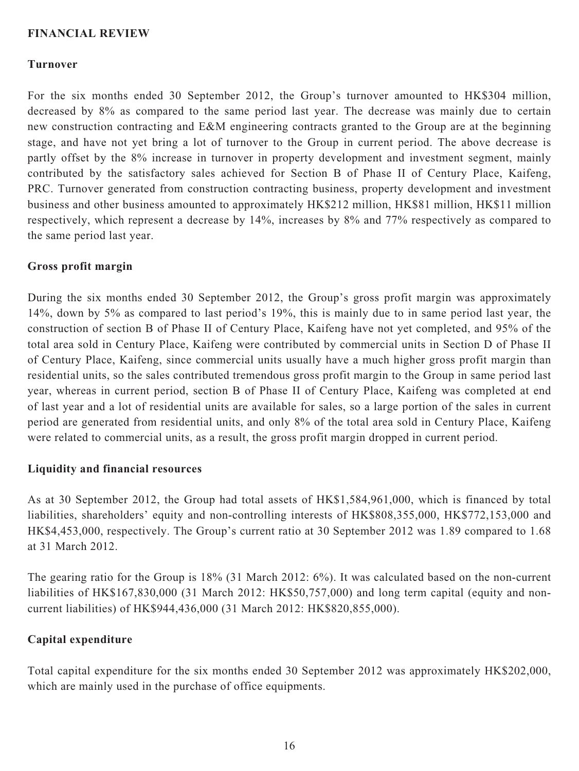### **FINANCIAL REVIEW**

#### **Turnover**

For the six months ended 30 September 2012, the Group's turnover amounted to HK\$304 million, decreased by 8% as compared to the same period last year. The decrease was mainly due to certain new construction contracting and E&M engineering contracts granted to the Group are at the beginning stage, and have not yet bring a lot of turnover to the Group in current period. The above decrease is partly offset by the 8% increase in turnover in property development and investment segment, mainly contributed by the satisfactory sales achieved for Section B of Phase II of Century Place, Kaifeng, PRC. Turnover generated from construction contracting business, property development and investment business and other business amounted to approximately HK\$212 million, HK\$81 million, HK\$11 million respectively, which represent a decrease by 14%, increases by 8% and 77% respectively as compared to the same period last year.

#### **Gross profit margin**

During the six months ended 30 September 2012, the Group's gross profit margin was approximately 14%, down by 5% as compared to last period's 19%, this is mainly due to in same period last year, the construction of section B of Phase II of Century Place, Kaifeng have not yet completed, and 95% of the total area sold in Century Place, Kaifeng were contributed by commercial units in Section D of Phase II of Century Place, Kaifeng, since commercial units usually have a much higher gross profit margin than residential units, so the sales contributed tremendous gross profit margin to the Group in same period last year, whereas in current period, section B of Phase II of Century Place, Kaifeng was completed at end of last year and a lot of residential units are available for sales, so a large portion of the sales in current period are generated from residential units, and only 8% of the total area sold in Century Place, Kaifeng were related to commercial units, as a result, the gross profit margin dropped in current period.

#### **Liquidity and financial resources**

As at 30 September 2012, the Group had total assets of HK\$1,584,961,000, which is financed by total liabilities, shareholders' equity and non-controlling interests of HK\$808,355,000, HK\$772,153,000 and HK\$4,453,000, respectively. The Group's current ratio at 30 September 2012 was 1.89 compared to 1.68 at 31 March 2012.

The gearing ratio for the Group is 18% (31 March 2012: 6%). It was calculated based on the non-current liabilities of HK\$167,830,000 (31 March 2012: HK\$50,757,000) and long term capital (equity and noncurrent liabilities) of HK\$944,436,000 (31 March 2012: HK\$820,855,000).

### **Capital expenditure**

Total capital expenditure for the six months ended 30 September 2012 was approximately HK\$202,000, which are mainly used in the purchase of office equipments.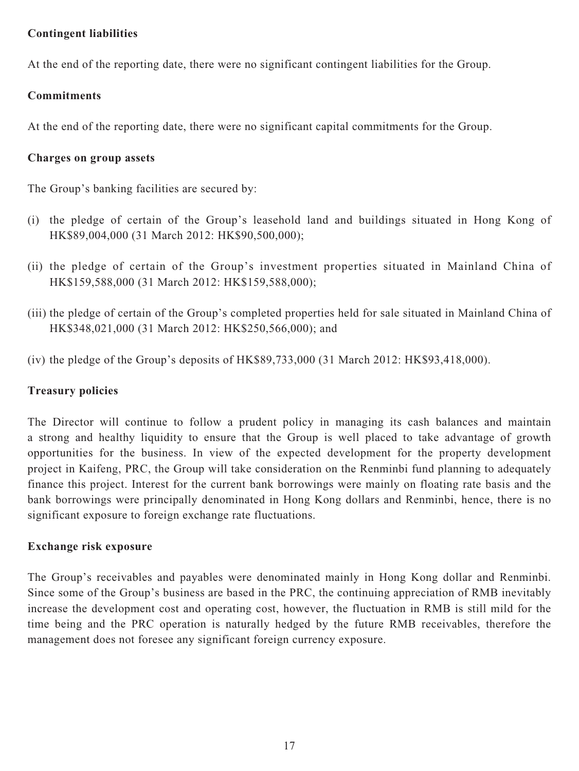### **Contingent liabilities**

At the end of the reporting date, there were no significant contingent liabilities for the Group.

# **Commitments**

At the end of the reporting date, there were no significant capital commitments for the Group.

# **Charges on group assets**

The Group's banking facilities are secured by:

- (i) the pledge of certain of the Group's leasehold land and buildings situated in Hong Kong of HK\$89,004,000 (31 March 2012: HK\$90,500,000);
- (ii) the pledge of certain of the Group's investment properties situated in Mainland China of HK\$159,588,000 (31 March 2012: HK\$159,588,000);
- (iii) the pledge of certain of the Group's completed properties held for sale situated in Mainland China of HK\$348,021,000 (31 March 2012: HK\$250,566,000); and
- (iv) the pledge of the Group's deposits of HK\$89,733,000 (31 March 2012: HK\$93,418,000).

# **Treasury policies**

The Director will continue to follow a prudent policy in managing its cash balances and maintain a strong and healthy liquidity to ensure that the Group is well placed to take advantage of growth opportunities for the business. In view of the expected development for the property development project in Kaifeng, PRC, the Group will take consideration on the Renminbi fund planning to adequately finance this project. Interest for the current bank borrowings were mainly on floating rate basis and the bank borrowings were principally denominated in Hong Kong dollars and Renminbi, hence, there is no significant exposure to foreign exchange rate fluctuations.

### **Exchange risk exposure**

The Group's receivables and payables were denominated mainly in Hong Kong dollar and Renminbi. Since some of the Group's business are based in the PRC, the continuing appreciation of RMB inevitably increase the development cost and operating cost, however, the fluctuation in RMB is still mild for the time being and the PRC operation is naturally hedged by the future RMB receivables, therefore the management does not foresee any significant foreign currency exposure.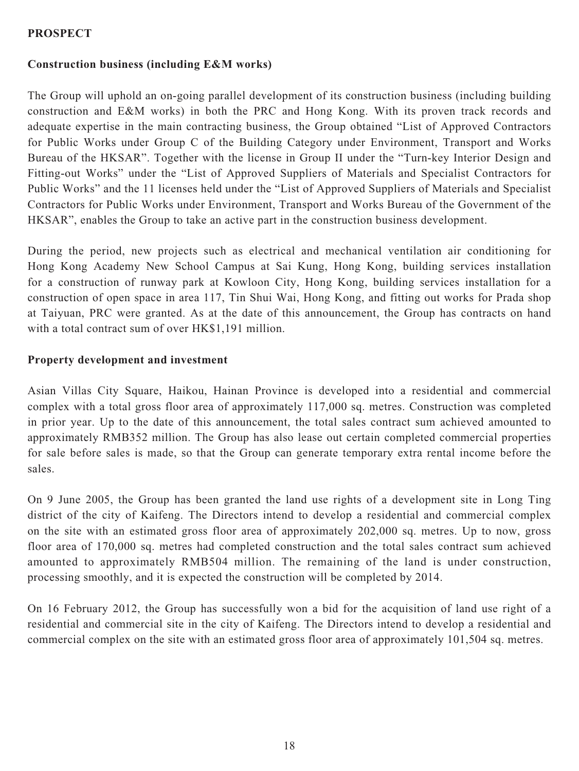### **PROSPECT**

### **Construction business (including E&M works)**

The Group will uphold an on-going parallel development of its construction business (including building construction and E&M works) in both the PRC and Hong Kong. With its proven track records and adequate expertise in the main contracting business, the Group obtained "List of Approved Contractors for Public Works under Group C of the Building Category under Environment, Transport and Works Bureau of the HKSAR". Together with the license in Group II under the "Turn-key Interior Design and Fitting-out Works" under the "List of Approved Suppliers of Materials and Specialist Contractors for Public Works" and the 11 licenses held under the "List of Approved Suppliers of Materials and Specialist Contractors for Public Works under Environment, Transport and Works Bureau of the Government of the HKSAR", enables the Group to take an active part in the construction business development.

During the period, new projects such as electrical and mechanical ventilation air conditioning for Hong Kong Academy New School Campus at Sai Kung, Hong Kong, building services installation for a construction of runway park at Kowloon City, Hong Kong, building services installation for a construction of open space in area 117, Tin Shui Wai, Hong Kong, and fitting out works for Prada shop at Taiyuan, PRC were granted. As at the date of this announcement, the Group has contracts on hand with a total contract sum of over HK\$1,191 million.

#### **Property development and investment**

Asian Villas City Square, Haikou, Hainan Province is developed into a residential and commercial complex with a total gross floor area of approximately 117,000 sq. metres. Construction was completed in prior year. Up to the date of this announcement, the total sales contract sum achieved amounted to approximately RMB352 million. The Group has also lease out certain completed commercial properties for sale before sales is made, so that the Group can generate temporary extra rental income before the sales.

On 9 June 2005, the Group has been granted the land use rights of a development site in Long Ting district of the city of Kaifeng. The Directors intend to develop a residential and commercial complex on the site with an estimated gross floor area of approximately 202,000 sq. metres. Up to now, gross floor area of 170,000 sq. metres had completed construction and the total sales contract sum achieved amounted to approximately RMB504 million. The remaining of the land is under construction, processing smoothly, and it is expected the construction will be completed by 2014.

On 16 February 2012, the Group has successfully won a bid for the acquisition of land use right of a residential and commercial site in the city of Kaifeng. The Directors intend to develop a residential and commercial complex on the site with an estimated gross floor area of approximately 101,504 sq. metres.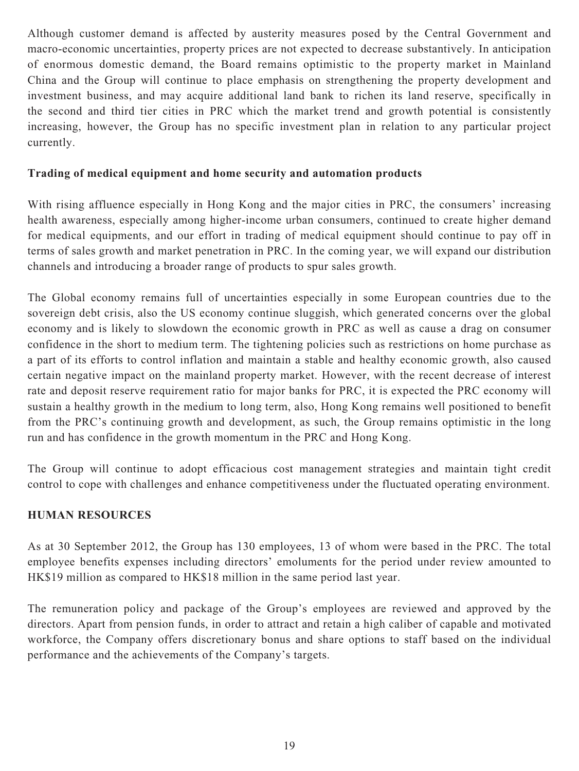Although customer demand is affected by austerity measures posed by the Central Government and macro-economic uncertainties, property prices are not expected to decrease substantively. In anticipation of enormous domestic demand, the Board remains optimistic to the property market in Mainland China and the Group will continue to place emphasis on strengthening the property development and investment business, and may acquire additional land bank to richen its land reserve, specifically in the second and third tier cities in PRC which the market trend and growth potential is consistently increasing, however, the Group has no specific investment plan in relation to any particular project currently.

### **Trading of medical equipment and home security and automation products**

With rising affluence especially in Hong Kong and the major cities in PRC, the consumers' increasing health awareness, especially among higher-income urban consumers, continued to create higher demand for medical equipments, and our effort in trading of medical equipment should continue to pay off in terms of sales growth and market penetration in PRC. In the coming year, we will expand our distribution channels and introducing a broader range of products to spur sales growth.

The Global economy remains full of uncertainties especially in some European countries due to the sovereign debt crisis, also the US economy continue sluggish, which generated concerns over the global economy and is likely to slowdown the economic growth in PRC as well as cause a drag on consumer confidence in the short to medium term. The tightening policies such as restrictions on home purchase as a part of its efforts to control inflation and maintain a stable and healthy economic growth, also caused certain negative impact on the mainland property market. However, with the recent decrease of interest rate and deposit reserve requirement ratio for major banks for PRC, it is expected the PRC economy will sustain a healthy growth in the medium to long term, also, Hong Kong remains well positioned to benefit from the PRC's continuing growth and development, as such, the Group remains optimistic in the long run and has confidence in the growth momentum in the PRC and Hong Kong.

The Group will continue to adopt efficacious cost management strategies and maintain tight credit control to cope with challenges and enhance competitiveness under the fluctuated operating environment.

### **HUMAN RESOURCES**

As at 30 September 2012, the Group has 130 employees, 13 of whom were based in the PRC. The total employee benefits expenses including directors' emoluments for the period under review amounted to HK\$19 million as compared to HK\$18 million in the same period last year.

The remuneration policy and package of the Group's employees are reviewed and approved by the directors. Apart from pension funds, in order to attract and retain a high caliber of capable and motivated workforce, the Company offers discretionary bonus and share options to staff based on the individual performance and the achievements of the Company's targets.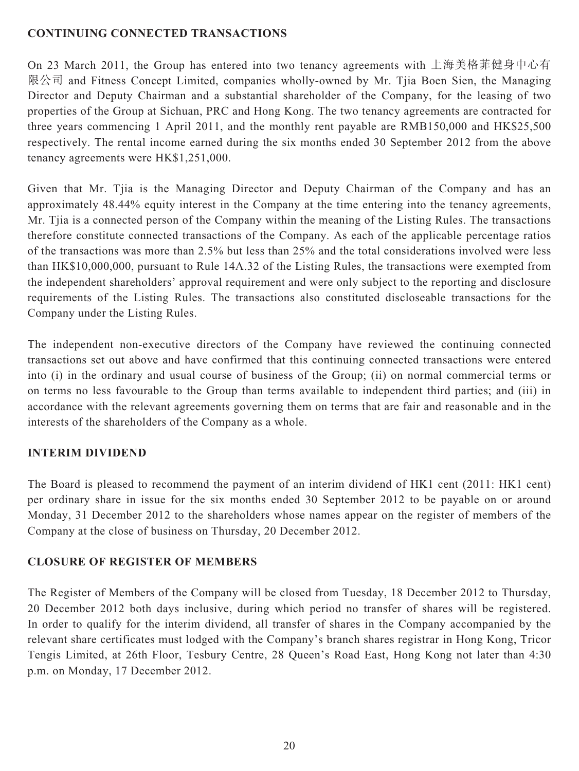### **CONTINUING CONNECTED TRANSACTIONS**

On 23 March 2011, the Group has entered into two tenancy agreements with 上海美格菲健身中心有 限公司 and Fitness Concept Limited, companies wholly-owned by Mr. Tjia Boen Sien, the Managing Director and Deputy Chairman and a substantial shareholder of the Company, for the leasing of two properties of the Group at Sichuan, PRC and Hong Kong. The two tenancy agreements are contracted for three years commencing 1 April 2011, and the monthly rent payable are RMB150,000 and HK\$25,500 respectively. The rental income earned during the six months ended 30 September 2012 from the above tenancy agreements were HK\$1,251,000.

Given that Mr. Tjia is the Managing Director and Deputy Chairman of the Company and has an approximately 48.44% equity interest in the Company at the time entering into the tenancy agreements, Mr. Tjia is a connected person of the Company within the meaning of the Listing Rules. The transactions therefore constitute connected transactions of the Company. As each of the applicable percentage ratios of the transactions was more than 2.5% but less than 25% and the total considerations involved were less than HK\$10,000,000, pursuant to Rule 14A.32 of the Listing Rules, the transactions were exempted from the independent shareholders' approval requirement and were only subject to the reporting and disclosure requirements of the Listing Rules. The transactions also constituted discloseable transactions for the Company under the Listing Rules.

The independent non-executive directors of the Company have reviewed the continuing connected transactions set out above and have confirmed that this continuing connected transactions were entered into (i) in the ordinary and usual course of business of the Group; (ii) on normal commercial terms or on terms no less favourable to the Group than terms available to independent third parties; and (iii) in accordance with the relevant agreements governing them on terms that are fair and reasonable and in the interests of the shareholders of the Company as a whole.

# **INTERIM DIVIDEND**

The Board is pleased to recommend the payment of an interim dividend of HK1 cent (2011: HK1 cent) per ordinary share in issue for the six months ended 30 September 2012 to be payable on or around Monday, 31 December 2012 to the shareholders whose names appear on the register of members of the Company at the close of business on Thursday, 20 December 2012.

# **CLOSURE OF REGISTER OF MEMBERS**

The Register of Members of the Company will be closed from Tuesday, 18 December 2012 to Thursday, 20 December 2012 both days inclusive, during which period no transfer of shares will be registered. In order to qualify for the interim dividend, all transfer of shares in the Company accompanied by the relevant share certificates must lodged with the Company's branch shares registrar in Hong Kong, Tricor Tengis Limited, at 26th Floor, Tesbury Centre, 28 Queen's Road East, Hong Kong not later than 4:30 p.m. on Monday, 17 December 2012.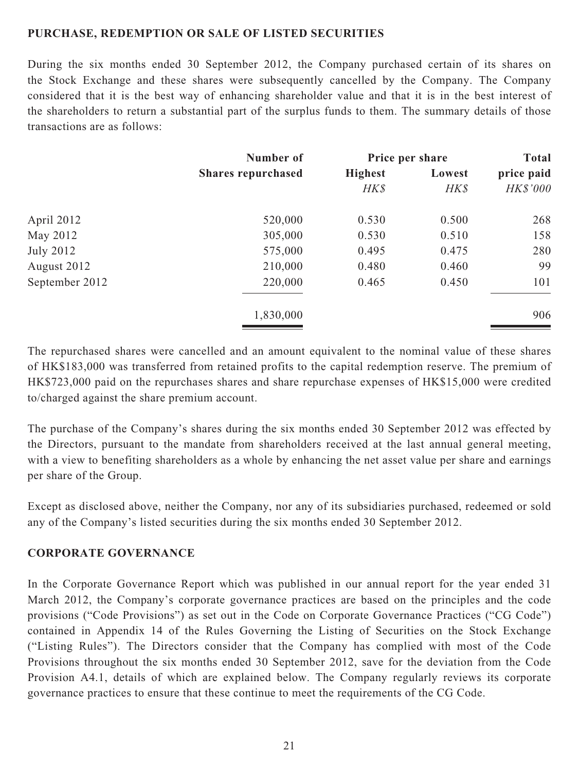### **PURCHASE, REDEMPTION OR SALE OF LISTED SECURITIES**

During the six months ended 30 September 2012, the Company purchased certain of its shares on the Stock Exchange and these shares were subsequently cancelled by the Company. The Company considered that it is the best way of enhancing shareholder value and that it is in the best interest of the shareholders to return a substantial part of the surplus funds to them. The summary details of those transactions are as follows:

|                  | Number of<br><b>Shares repurchased</b> | Price per share |        | <b>Total</b> |
|------------------|----------------------------------------|-----------------|--------|--------------|
|                  |                                        | <b>Highest</b>  | Lowest | price paid   |
|                  |                                        | HK\$            | HK\$   | HK\$'000     |
| April 2012       | 520,000                                | 0.530           | 0.500  | 268          |
| May 2012         | 305,000                                | 0.530           | 0.510  | 158          |
| <b>July 2012</b> | 575,000                                | 0.495           | 0.475  | 280          |
| August 2012      | 210,000                                | 0.480           | 0.460  | 99           |
| September 2012   | 220,000                                | 0.465           | 0.450  | 101          |
|                  | 1,830,000                              |                 |        | 906          |

The repurchased shares were cancelled and an amount equivalent to the nominal value of these shares of HK\$183,000 was transferred from retained profits to the capital redemption reserve. The premium of HK\$723,000 paid on the repurchases shares and share repurchase expenses of HK\$15,000 were credited to/charged against the share premium account.

The purchase of the Company's shares during the six months ended 30 September 2012 was effected by the Directors, pursuant to the mandate from shareholders received at the last annual general meeting, with a view to benefiting shareholders as a whole by enhancing the net asset value per share and earnings per share of the Group.

Except as disclosed above, neither the Company, nor any of its subsidiaries purchased, redeemed or sold any of the Company's listed securities during the six months ended 30 September 2012.

#### **CORPORATE GOVERNANCE**

In the Corporate Governance Report which was published in our annual report for the year ended 31 March 2012, the Company's corporate governance practices are based on the principles and the code provisions ("Code Provisions") as set out in the Code on Corporate Governance Practices ("CG Code") contained in Appendix 14 of the Rules Governing the Listing of Securities on the Stock Exchange ("Listing Rules"). The Directors consider that the Company has complied with most of the Code Provisions throughout the six months ended 30 September 2012, save for the deviation from the Code Provision A4.1, details of which are explained below. The Company regularly reviews its corporate governance practices to ensure that these continue to meet the requirements of the CG Code.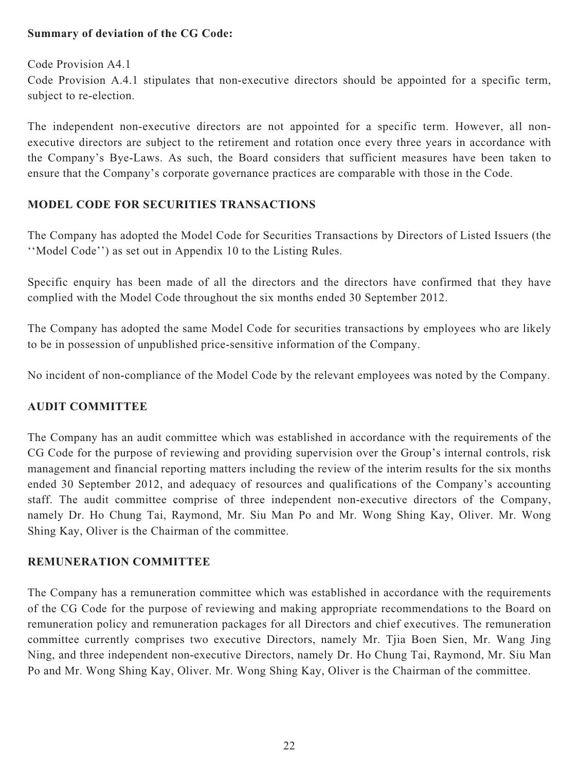### **Summary of deviation of the CG Code:**

Code Provision A4.1 Code Provision A.4.1 stipulates that non-executive directors should be appointed for a specific term, subject to re-election.

The independent non-executive directors are not appointed for a specific term. However, all nonexecutive directors are subject to the retirement and rotation once every three years in accordance with the Company's Bye-Laws. As such, the Board considers that sufficient measures have been taken to ensure that the Company's corporate governance practices are comparable with those in the Code.

# **MODEL CODE FOR SECURITIES TRANSACTIONS**

The Company has adopted the Model Code for Securities Transactions by Directors of Listed Issuers (the ''Model Code'') as set out in Appendix 10 to the Listing Rules.

Specific enquiry has been made of all the directors and the directors have confirmed that they have complied with the Model Code throughout the six months ended 30 September 2012.

The Company has adopted the same Model Code for securities transactions by employees who are likely to be in possession of unpublished price-sensitive information of the Company.

No incident of non-compliance of the Model Code by the relevant employees was noted by the Company.

# **AUDIT COMMITTEE**

The Company has an audit committee which was established in accordance with the requirements of the CG Code for the purpose of reviewing and providing supervision over the Group's internal controls, risk management and financial reporting matters including the review of the interim results for the six months ended 30 September 2012, and adequacy of resources and qualifications of the Company's accounting staff. The audit committee comprise of three independent non-executive directors of the Company, namely Dr. Ho Chung Tai, Raymond, Mr. Siu Man Po and Mr. Wong Shing Kay, Oliver. Mr. Wong Shing Kay, Oliver is the Chairman of the committee.

# **REMUNERATION COMMITTEE**

The Company has a remuneration committee which was established in accordance with the requirements of the CG Code for the purpose of reviewing and making appropriate recommendations to the Board on remuneration policy and remuneration packages for all Directors and chief executives. The remuneration committee currently comprises two executive Directors, namely Mr. Tjia Boen Sien, Mr. Wang Jing Ning, and three independent non-executive Directors, namely Dr. Ho Chung Tai, Raymond, Mr. Siu Man Po and Mr. Wong Shing Kay, Oliver. Mr. Wong Shing Kay, Oliver is the Chairman of the committee.